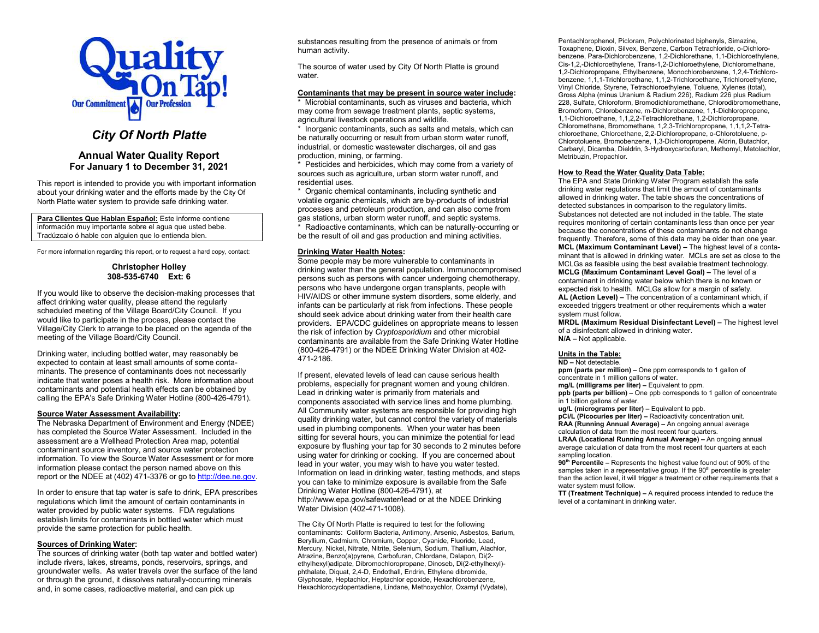

# City Of North Platte

## Annual Water Quality Report For January 1 to December 31, 2021

This report is intended to provide you with important information about your drinking water and the efforts made by the City Of North Platte water system to provide safe drinking water.

Para Clientes Que Hablan Español: Este informe contiene información muy importante sobre el agua que usted bebe. Tradúzcalo ó hable con alguien que lo entienda bien.

For more information regarding this report, or to request a hard copy, contact:

### Christopher Holley 308-535-6740 Ext: 6

If you would like to observe the decision-making processes that affect drinking water quality, please attend the regularly scheduled meeting of the Village Board/City Council. If you would like to participate in the process, please contact the Village/City Clerk to arrange to be placed on the agenda of the meeting of the Village Board/City Council.

Drinking water, including bottled water, may reasonably be expected to contain at least small amounts of some contaminants. The presence of contaminants does not necessarily indicate that water poses a health risk. More information about contaminants and potential health effects can be obtained by calling the EPA's Safe Drinking Water Hotline (800-426-4791).

### Source Water Assessment Availability:

The Nebraska Department of Environment and Energy (NDEE) has completed the Source Water Assessment. Included in the assessment are a Wellhead Protection Area map, potential contaminant source inventory, and source water protection information. To view the Source Water Assessment or for more information please contact the person named above on this report or the NDEE at (402) 471-3376 or go to http://dee.ne.gov.

In order to ensure that tap water is safe to drink, EPA prescribes regulations which limit the amount of certain contaminants in water provided by public water systems. FDA regulations establish limits for contaminants in bottled water which must provide the same protection for public health.

#### Sources of Drinking Water:

The sources of drinking water (both tap water and bottled water) include rivers, lakes, streams, ponds, reservoirs, springs, and groundwater wells. As water travels over the surface of the land or through the ground, it dissolves naturally-occurring minerals and, in some cases, radioactive material, and can pick up

substances resulting from the presence of animals or from human activity.

The source of water used by City Of North Platte is ground water.

#### Contaminants that may be present in source water include:

\* Microbial contaminants, such as viruses and bacteria, which may come from sewage treatment plants, septic systems, agricultural livestock operations and wildlife.

\* Inorganic contaminants, such as salts and metals, which can be naturally occurring or result from urban storm water runoff, industrial, or domestic wastewater discharges, oil and gas production, mining, or farming.

\* Pesticides and herbicides, which may come from a variety of sources such as agriculture, urban storm water runoff, and residential uses.

\* Organic chemical contaminants, including synthetic and volatile organic chemicals, which are by-products of industrial processes and petroleum production, and can also come from gas stations, urban storm water runoff, and septic systems.

\* Radioactive contaminants, which can be naturally-occurring or be the result of oil and gas production and mining activities.

### Drinking Water Health Notes:

Some people may be more vulnerable to contaminants in drinking water than the general population. Immunocompromised persons such as persons with cancer undergoing chemotherapy, persons who have undergone organ transplants, people with HIV/AIDS or other immune system disorders, some elderly, and infants can be particularly at risk from infections. These people should seek advice about drinking water from their health care providers. EPA/CDC guidelines on appropriate means to lessen the risk of infection by Cryptosporidium and other microbial contaminants are available from the Safe Drinking Water Hotline (800-426-4791) or the NDEE Drinking Water Division at 402- 471-2186.

If present, elevated levels of lead can cause serious health problems, especially for pregnant women and young children. Lead in drinking water is primarily from materials and components associated with service lines and home plumbing. All Community water systems are responsible for providing high quality drinking water, but cannot control the variety of materials used in plumbing components. When your water has been sitting for several hours, you can minimize the potential for lead exposure by flushing your tap for 30 seconds to 2 minutes before using water for drinking or cooking. If you are concerned about lead in your water, you may wish to have you water tested. Information on lead in drinking water, testing methods, and steps you can take to minimize exposure is available from the Safe Drinking Water Hotline (800-426-4791), at http://www.epa.gov/safewater/lead or at the NDEE Drinking Water Division (402-471-1008).

The City Of North Platte is required to test for the following contaminants: Coliform Bacteria, Antimony, Arsenic, Asbestos, Barium, Beryllium, Cadmium, Chromium, Copper, Cyanide, Fluoride, Lead, Mercury, Nickel, Nitrate, Nitrite, Selenium, Sodium, Thallium, Alachlor, Atrazine, Benzo(a)pyrene, Carbofuran, Chlordane, Dalapon, Di(2 ethylhexyl)adipate, Dibromochloropropane, Dinoseb, Di(2-ethylhexyl) phthalate, Diquat, 2,4-D, Endothall, Endrin, Ethylene dibromide, Glyphosate, Heptachlor, Heptachlor epoxide, Hexachlorobenzene, Hexachlorocyclopentadiene, Lindane, Methoxychlor, Oxamyl (Vydate),

Pentachlorophenol, Picloram, Polychlorinated biphenyls, Simazine, Toxaphene, Dioxin, Silvex, Benzene, Carbon Tetrachloride, o-Dichlorobenzene, Para-Dichlorobenzene, 1,2-Dichlorethane, 1,1-Dichloroethylene, Cis-1,2,-Dichloroethylene, Trans-1,2-Dichloroethylene, Dichloromethane, 1,2-Dichloropropane, Ethylbenzene, Monochlorobenzene, 1,2,4-Trichlorobenzene, 1,1,1-Trichloroethane, 1,1,2-Trichloroethane, Trichloroethylene, Vinyl Chloride, Styrene, Tetrachloroethylene, Toluene, Xylenes (total), Gross Alpha (minus Uranium & Radium 226), Radium 226 plus Radium 228, Sulfate, Chloroform, Bromodichloromethane, Chlorodibromomethane, Bromoform, Chlorobenzene, m-Dichlorobenzene, 1,1-Dichloropropene, 1,1-Dichloroethane, 1,1,2,2-Tetrachlorethane, 1,2-Dichloropropane, Chloromethane, Bromomethane, 1,2,3-Trichloropropane, 1,1,1,2-Tetrachloroethane, Chloroethane, 2,2-Dichloropropane, o-Chlorotoluene, p-Chlorotoluene, Bromobenzene, 1,3-Dichloropropene, Aldrin, Butachlor, Carbaryl, Dicamba, Dieldrin, 3-Hydroxycarbofuran, Methomyl, Metolachlor, Metribuzin, Propachlor.

#### How to Read the Water Quality Data Table:

The EPA and State Drinking Water Program establish the safe drinking water regulations that limit the amount of contaminants allowed in drinking water. The table shows the concentrations of detected substances in comparison to the regulatory limits. Substances not detected are not included in the table. The state requires monitoring of certain contaminants less than once per year because the concentrations of these contaminants do not change frequently. Therefore, some of this data may be older than one year. MCL (Maximum Contaminant Level) – The highest level of a contaminant that is allowed in drinking water. MCLs are set as close to the MCLGs as feasible using the best available treatment technology. MCLG (Maximum Contaminant Level Goal) – The level of a contaminant in drinking water below which there is no known or expected risk to health. MCLGs allow for a margin of safety. AL (Action Level) – The concentration of a contaminant which, if exceeded triggers treatment or other requirements which a water system must follow.

MRDL (Maximum Residual Disinfectant Level) – The highest level of a disinfectant allowed in drinking water. N/A – Not applicable.

### Units in the Table:

ND – Not detectable.

ppm (parts per million) – One ppm corresponds to 1 gallon of concentrate in 1 million gallons of water.

mg/L (milligrams per liter) – Equivalent to ppm.

 $p$ ppb (parts per billion) – One ppb corresponds to 1 gallon of concentrate in 1 billion gallons of water.

ug/L (micrograms per liter) – Equivalent to ppb.

pCi/L (Picocuries per liter) – Radioactivity concentration unit.

RAA (Running Annual Average) – An ongoing annual average calculation of data from the most recent four quarters.

LRAA (Locational Running Annual Average) – An ongoing annual average calculation of data from the most recent four quarters at each sampling location.

90<sup>th</sup> Percentile – Represents the highest value found out of 90% of the samples taken in a representative group. If the 90<sup>th</sup> percentile is greater than the action level, it will trigger a treatment or other requirements that a water system must follow.

TT (Treatment Technique) – A required process intended to reduce the level of a contaminant in drinking water.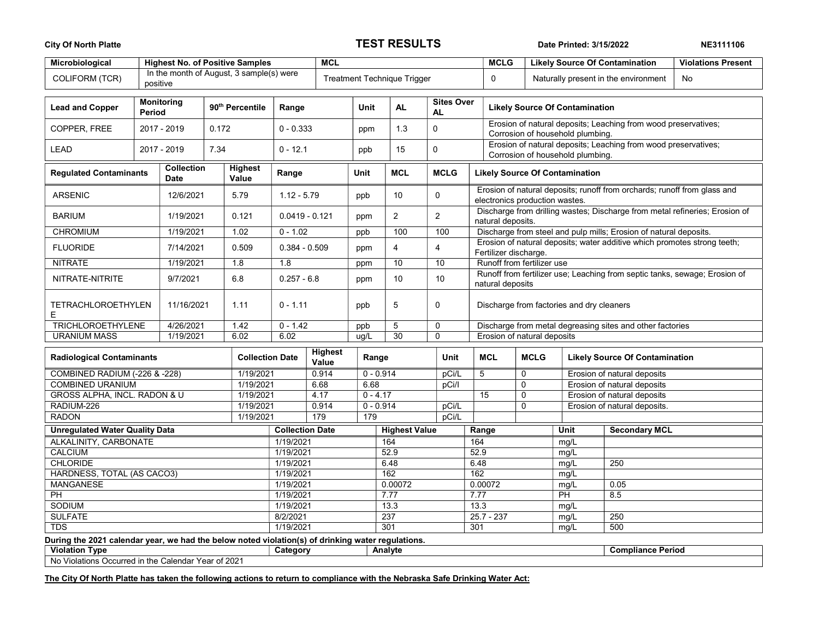## City Of North Platte Natural Active TEST RESULTS Date Printed: 3/15/2022 NE3111106

| Microbiological<br><b>Highest No. of Positive Samples</b>                                         |             |                                  |                  |                                      |                                    | <b>MCL</b>  |             |                    |                      |                                |              | <b>MCLG</b>                                                                                                |             | <b>Likely Source Of Contamination</b><br><b>Violations Present</b> |                                       |    |
|---------------------------------------------------------------------------------------------------|-------------|----------------------------------|------------------|--------------------------------------|------------------------------------|-------------|-------------|--------------------|----------------------|--------------------------------|--------------|------------------------------------------------------------------------------------------------------------|-------------|--------------------------------------------------------------------|---------------------------------------|----|
| In the month of August, 3 sample(s) were<br>COLIFORM (TCR)<br>positive                            |             |                                  |                  |                                      | <b>Treatment Technique Trigger</b> |             |             |                    |                      |                                |              | $\mathbf 0$                                                                                                |             |                                                                    | Naturally present in the environment  | No |
| <b>Lead and Copper</b>                                                                            |             | Monitoring<br>Period             |                  | 90 <sup>th</sup> Percentile<br>Range |                                    |             | <b>Unit</b> |                    | <b>AL</b>            | <b>Sites Over</b><br><b>AL</b> |              | <b>Likely Source Of Contamination</b>                                                                      |             |                                                                    |                                       |    |
| COPPER, FREE                                                                                      | 2017 - 2019 |                                  | 0.172            |                                      |                                    | $0 - 0.333$ |             | ppm                | 1.3                  | $\mathbf 0$                    |              | Erosion of natural deposits; Leaching from wood preservatives;<br>Corrosion of household plumbing.         |             |                                                                    |                                       |    |
| <b>LEAD</b>                                                                                       |             | 2017 - 2019<br>7.34              |                  |                                      | $0 - 12.1$                         |             | ppb         |                    | 15                   | 0                              |              | Erosion of natural deposits; Leaching from wood preservatives;<br>Corrosion of household plumbing.         |             |                                                                    |                                       |    |
| <b>Regulated Contaminants</b>                                                                     |             | <b>Collection</b><br><b>Date</b> |                  | <b>Highest</b><br>Value              | Range                              |             | Unit        |                    | <b>MCL</b>           | <b>MCLG</b>                    |              | <b>Likely Source Of Contamination</b>                                                                      |             |                                                                    |                                       |    |
| <b>ARSENIC</b>                                                                                    |             | 12/6/2021                        |                  | 5.79                                 | $1.12 - 5.79$                      |             | ppb         |                    | 10                   | $\mathbf 0$                    |              | Erosion of natural deposits; runoff from orchards; runoff from glass and<br>electronics production wastes. |             |                                                                    |                                       |    |
| <b>BARIUM</b>                                                                                     |             | 1/19/2021                        |                  | 0.121                                | $0.0419 - 0.121$                   |             | ppm         |                    | $\overline{2}$       | $\overline{c}$                 |              | Discharge from drilling wastes; Discharge from metal refineries; Erosion of<br>natural deposits.           |             |                                                                    |                                       |    |
| <b>CHROMIUM</b>                                                                                   |             | 1/19/2021                        |                  | 1.02                                 | $0 - 1.02$                         |             | ppb         |                    | 100                  | 100                            |              | Discharge from steel and pulp mills; Erosion of natural deposits.                                          |             |                                                                    |                                       |    |
| <b>FLUORIDE</b>                                                                                   | 7/14/2021   |                                  |                  | 0.509                                | $0.384 - 0.509$                    |             | ppm         |                    | $\overline{4}$       | $\overline{4}$                 |              | Erosion of natural deposits; water additive which promotes strong teeth;<br>Fertilizer discharge.          |             |                                                                    |                                       |    |
| <b>NITRATE</b>                                                                                    |             |                                  | 1/19/2021<br>1.8 |                                      | 1.8                                |             | ppm         |                    | 10                   | 10                             |              | Runoff from fertilizer use                                                                                 |             |                                                                    |                                       |    |
| NITRATE-NITRITE                                                                                   |             | 9/7/2021                         | 6.8              |                                      | $0.257 - 6.8$                      |             | ppm         |                    | 10                   | 10                             |              | Runoff from fertilizer use; Leaching from septic tanks, sewage; Erosion of<br>natural deposits             |             |                                                                    |                                       |    |
| <b>TETRACHLOROETHYLEN</b><br>Е                                                                    | 11/16/2021  |                                  |                  | 1.11                                 | $0 - 1.11$                         |             | ppb         |                    | 5                    | $\mathbf 0$                    |              | Discharge from factories and dry cleaners                                                                  |             |                                                                    |                                       |    |
| <b>TRICHLOROETHYLENE</b>                                                                          |             | 4/26/2021                        |                  | 1.42                                 | $0 - 1.42$                         |             | ppb         |                    | 5                    | 0                              |              | Discharge from metal degreasing sites and other factories                                                  |             |                                                                    |                                       |    |
| <b>URANIUM MASS</b>                                                                               |             | 1/19/2021                        |                  | 6.02                                 | 6.02                               |             | ug/L        |                    | 30                   | $\mathbf 0$                    |              | Erosion of natural deposits                                                                                |             |                                                                    |                                       |    |
| <b>Radiological Contaminants</b>                                                                  |             |                                  |                  | <b>Collection Date</b>               | <b>Highest</b><br>Value            |             |             | Range              |                      | Unit                           |              | <b>MCL</b>                                                                                                 | <b>MCLG</b> |                                                                    | <b>Likely Source Of Contamination</b> |    |
| <b>COMBINED RADIUM (-226 &amp; -228)</b>                                                          |             |                                  |                  | 1/19/2021                            | 0.914                              |             |             | $0 - 0.914$        |                      | pCi/L                          | 5            |                                                                                                            | $\mathbf 0$ |                                                                    | Erosion of natural deposits           |    |
| <b>COMBINED URANIUM</b>                                                                           |             |                                  |                  | 1/19/2021                            | 6.68                               |             |             | 6.68               |                      | pCi/l                          |              |                                                                                                            | 0           |                                                                    | Erosion of natural deposits           |    |
| <b>GROSS ALPHA, INCL. RADON &amp; U</b>                                                           |             |                                  |                  | 1/19/2021                            |                                    | 4.17        |             | $0 - 4.17$         |                      |                                |              | 15                                                                                                         | $\Omega$    |                                                                    | Erosion of natural deposits           |    |
| RADIUM-226                                                                                        |             |                                  |                  | 1/19/2021<br>1/19/2021               |                                    | 0.914       |             | $0 - 0.914$<br>179 |                      | pCi/L                          |              |                                                                                                            | $\mathbf 0$ |                                                                    | Erosion of natural deposits.          |    |
| <b>RADON</b>                                                                                      | 179         |                                  |                  |                                      | pCi/L                              |             |             |                    |                      |                                |              |                                                                                                            |             |                                                                    |                                       |    |
| <b>Unregulated Water Quality Data</b>                                                             |             |                                  |                  |                                      | <b>Collection Date</b>             |             |             |                    | <b>Highest Value</b> |                                |              | Range                                                                                                      |             | Unit                                                               | <b>Secondary MCL</b>                  |    |
| ALKALINITY, CARBONATE                                                                             |             |                                  |                  |                                      | 1/19/2021                          |             |             |                    | 164                  |                                | 164          |                                                                                                            |             | mq/L                                                               |                                       |    |
| CALCIUM<br><b>CHLORIDE</b>                                                                        |             |                                  |                  |                                      | 1/19/2021<br>1/19/2021             |             |             | 52.9               |                      |                                | 52.9<br>6.48 |                                                                                                            | mg/L        | 250                                                                |                                       |    |
| <b>HARDNESS, TOTAL (AS CACO3)</b>                                                                 |             |                                  |                  |                                      | 1/19/2021                          |             |             |                    | 6.48<br>162          |                                |              | mq/L<br>162<br>mg/L                                                                                        |             |                                                                    |                                       |    |
| <b>MANGANESE</b>                                                                                  |             |                                  |                  |                                      | 1/19/2021                          |             |             |                    | 0.00072              |                                |              | 0.00072                                                                                                    |             | mg/L                                                               | 0.05                                  |    |
| <b>PH</b>                                                                                         |             |                                  |                  |                                      | 1/19/2021                          |             |             | 7.77               |                      |                                | 7.77         |                                                                                                            |             | $\overline{PH}$                                                    | 8.5                                   |    |
| SODIUM                                                                                            |             |                                  |                  | 1/19/2021                            |                                    |             | 13.3        |                    |                      |                                | 13.3         |                                                                                                            | mg/L        |                                                                    |                                       |    |
| <b>SULFATE</b>                                                                                    |             |                                  |                  | 8/2/2021                             |                                    |             |             | 237                |                      |                                | $25.7 - 237$ |                                                                                                            | mg/L        | 250                                                                |                                       |    |
| <b>TDS</b>                                                                                        |             |                                  |                  | 1/19/2021                            |                                    |             | 301         |                    |                      | 301                            | 500<br>mg/L  |                                                                                                            |             |                                                                    |                                       |    |
| During the 2021 calendar year, we had the below noted violation(s) of drinking water regulations. |             |                                  |                  |                                      |                                    |             |             |                    |                      |                                |              |                                                                                                            |             |                                                                    |                                       |    |
| <b>Violation Type</b>                                                                             |             |                                  |                  |                                      | Category                           |             |             |                    | Analyte              |                                |              |                                                                                                            |             |                                                                    | <b>Compliance Period</b>              |    |
| No Violations Occurred in the Calendar Year of 2021                                               |             |                                  |                  |                                      |                                    |             |             |                    |                      |                                |              |                                                                                                            |             |                                                                    |                                       |    |

The City Of North Platte has taken the following actions to return to compliance with the Nebraska Safe Drinking Water Act: